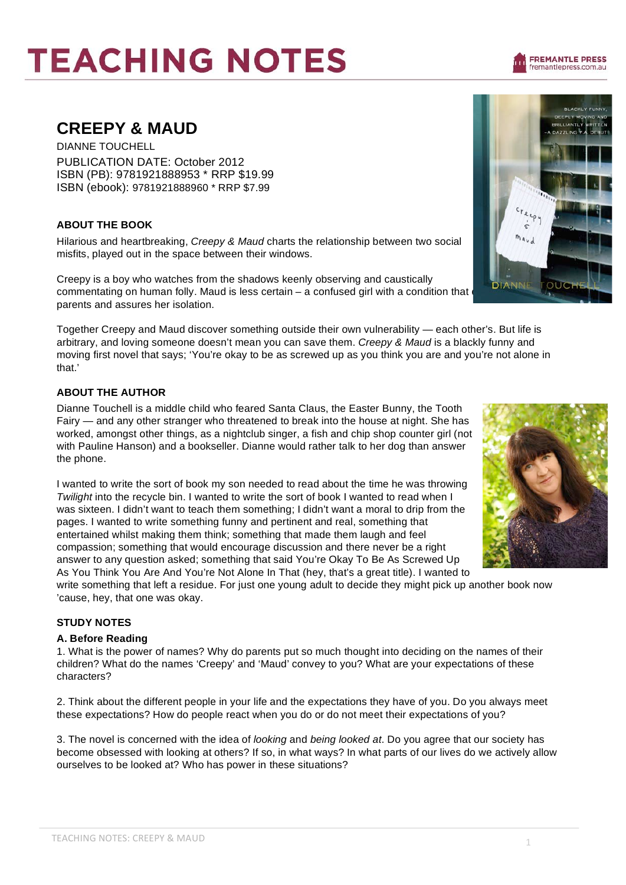# **TEACHING NOTES**

# **CREEPY & MAUD**

DIANNE TOUCHELL PUBLICATION DATE: October 2012 ISBN (PB): 9781921888953 \* RRP \$19.99 ISBN (ebook): 9781921888960 \* RRP \$7.99

## **ABOUT THE BOOK**

Hilarious and heartbreaking, *Creepy & Maud* charts the relationship between two social misfits, played out in the space between their windows.

Creepy is a boy who watches from the shadows keenly observing and caustically commentating on human folly. Maud is less certain – a confused girl with a condition that parents and assures her isolation.

Together Creepy and Maud discover something outside their own vulnerability — each other's. But life is arbitrary, and loving someone doesn't mean you can save them. *Creepy & Maud* is a blackly funny and moving first novel that says; 'You're okay to be as screwed up as you think you are and you're not alone in that.'

# **ABOUT THE AUTHOR**

Dianne Touchell is a middle child who feared Santa Claus, the Easter Bunny, the Tooth Fairy — and any other stranger who threatened to break into the house at night. She has worked, amongst other things, as a nightclub singer, a fish and chip shop counter girl (not with Pauline Hanson) and a bookseller. Dianne would rather talk to her dog than answer the phone.

I wanted to write the sort of book my son needed to read about the time he was throwing **Twilight into the recycle bin. I wanted to write the sort of book I wanted to read when I** was sixteen. I didn't want to teach them something; I didn't want a moral to drip from the pages. I wanted to write something funny and pertinent and real, something that entertained whilst making them think; something that made them laugh and feel compassion; something that would encourage discussion and there never be a right answer to any question asked; something that said You're Okay To Be As Screwed Up As You Think You Are And You're Not Alone In That (hey, that's a great title). I wanted to

write something that left a residue. For just one young adult to decide they might pick up another book now 'cause, hey, that one was okay.

# **STUDY NOTES**

### **A. Before Reading**

1. What is the power of names? Why do parents put so much thought into deciding on the names of their children? What do the names 'Creepy' and 'Maud' convey to you? What are your expectations of these characters?

2. Think about the different people in your life and the expectations they have of you. Do you always meet these expectations? How do people react when you do or do not meet their expectations of you?

3. The novel is concerned with the idea of *looking* and *being looked at*. Do you agree that our society has become obsessed with looking at others? If so, in what ways? In what parts of our lives do we actively allow ourselves to be looked at? Who has power in these situations?





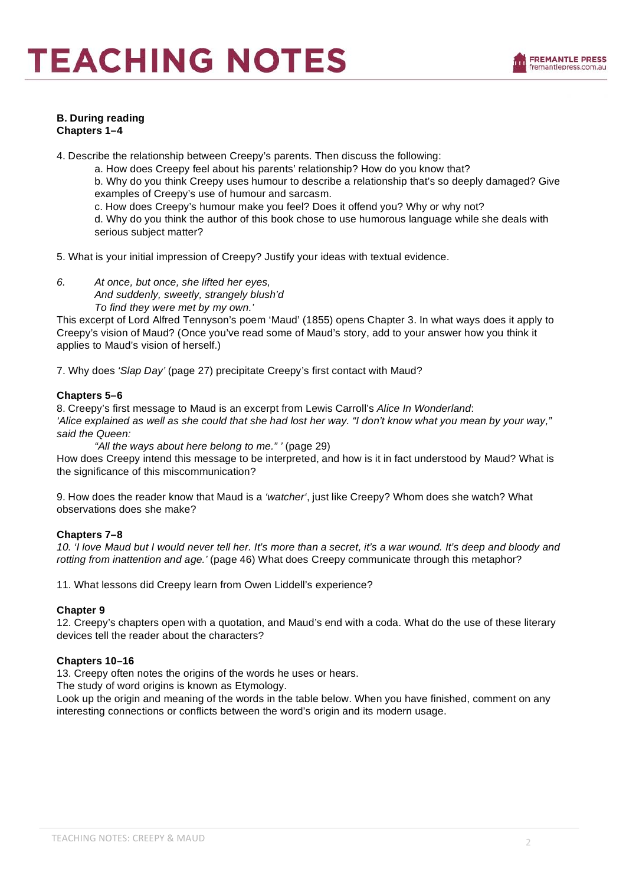#### **B. During reading Chapters 1–4**

4. Describe the relationship between Creepy's parents. Then discuss the following:

a. How does Creepy feel about his parents' relationship? How do you know that?

b. Why do you think Creepy uses humour to describe a relationship that's so deeply damaged? Give examples of Creepy's use of humour and sarcasm.

c. How does Creepy's humour make you feel? Does it offend you? Why or why not?

d. Why do you think the author of this book chose to use humorous language while she deals with serious subject matter?

5. What is your initial impression of Creepy? Justify your ideas with textual evidence.

*6. At once, but once, she lifted her eyes, And suddenly, sweetly, strangely blush'd To find they were met by my own.'*

This excerpt of Lord Alfred Tennyson's poem 'Maud' (1855) opens Chapter 3. In what ways does it apply to Creepy's vision of Maud? (Once you've read some of Maud's story, add to your answer how you think it applies to Maud's vision of herself.)

7. Why does *'Slap Day'* (page 27) precipitate Creepy's first contact with Maud?

#### **Chapters 5–6**

8. Creepy's first message to Maud is an excerpt from Lewis Carroll's *Alice In Wonderland*: *'Alice explained as well as she could that she had lost her way. "I don't know what you mean by your way," said the Queen:*

*"All the ways about here belong to me." '* (page 29)

How does Creepy intend this message to be interpreted, and how is it in fact understood by Maud? What is the significance of this miscommunication?

9. How does the reader know that Maud is a *'watcher'*, just like Creepy? Whom does she watch? What observations does she make?

#### **Chapters 7–8**

10. 'I love Maud but I would never tell her. It's more than a secret, it's a war wound. It's deep and bloody and *rotting from inattention and age.'* (page 46) What does Creepy communicate through this metaphor?

11. What lessons did Creepy learn from Owen Liddell's experience?

#### **Chapter 9**

12. Creepy's chapters open with a quotation, and Maud's end with a coda. What do the use of these literary devices tell the reader about the characters?

#### **Chapters 10–16**

13. Creepy often notes the origins of the words he uses or hears.

The study of word origins is known as Etymology.

Look up the origin and meaning of the words in the table below. When you have finished, comment on any interesting connections or conflicts between the word's origin and its modern usage.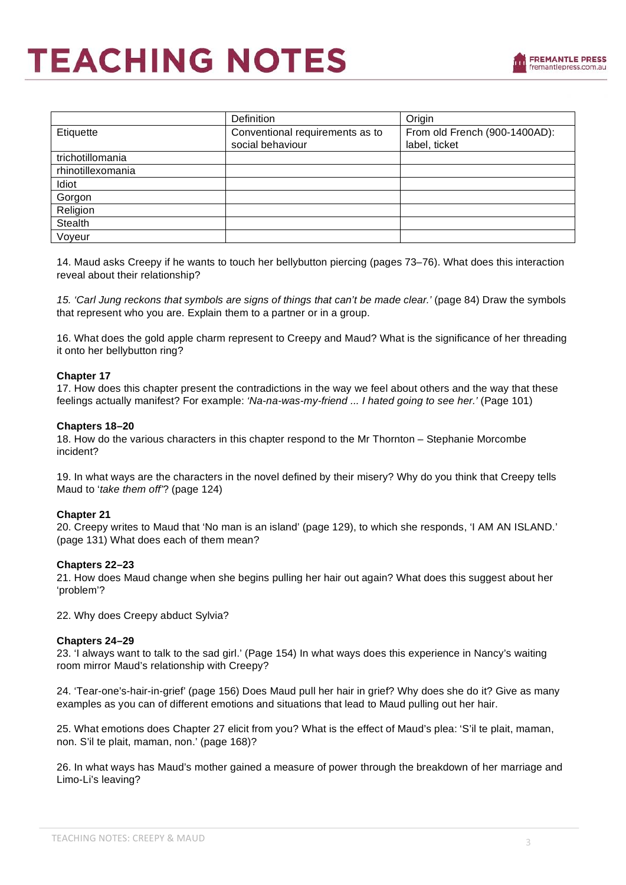|                   | Definition                      | Origin                        |  |
|-------------------|---------------------------------|-------------------------------|--|
| Etiquette         | Conventional requirements as to | From old French (900-1400AD): |  |
|                   | social behaviour                | label, ticket                 |  |
| trichotillomania  |                                 |                               |  |
| rhinotillexomania |                                 |                               |  |
| Idiot             |                                 |                               |  |
| Gorgon            |                                 |                               |  |
| Religion          |                                 |                               |  |
| Stealth           |                                 |                               |  |
| Voyeur            |                                 |                               |  |

14. Maud asks Creepy if he wants to touch her bellybutton piercing (pages 73–76). What does this interaction reveal about their relationship?

*15. 'Carl Jung reckons that symbols are signs of things that can't be made clear.'* (page 84) Draw the symbols that represent who you are. Explain them to a partner or in a group.

16. What does the gold apple charm represent to Creepy and Maud? What is the significance of her threading it onto her bellybutton ring?

#### **Chapter 17**

17. How does this chapter present the contradictions in the way we feel about others and the way that these feelings actually manifest? For example: *'Na-na-was-my-friend ... I hated going to see her.'* (Page 101)

#### **Chapters 18–20**

18. How do the various characters in this chapter respond to the Mr Thornton – Stephanie Morcombe incident?

19. In what ways are the characters in the novel defined by their misery? Why do you think that Creepy tells Maud to '*take them off'*? (page 124)

#### **Chapter 21**

20. Creepy writes to Maud that 'No man is an island' (page 129), to which she responds, 'I AM AN ISLAND.' (page 131) What does each of them mean?

#### **Chapters 22–23**

21. How does Maud change when she begins pulling her hair out again? What does this suggest about her 'problem'?

22. Why does Creepy abduct Sylvia?

#### **Chapters 24–29**

23. 'I always want to talk to the sad girl.' (Page 154) In what ways does this experience in Nancy's waiting room mirror Maud's relationship with Creepy?

24. 'Tear-one's-hair-in-grief' (page 156) Does Maud pull her hair in grief? Why does she do it? Give as many examples as you can of different emotions and situations that lead to Maud pulling out her hair.

25. What emotions does Chapter 27 elicit from you? What is the effect of Maud's plea: 'S'il te plait, maman, non. S'il te plait, maman, non.' (page 168)?

26. In what ways has Maud's mother gained a measure of power through the breakdown of her marriage and Limo-Li's leaving?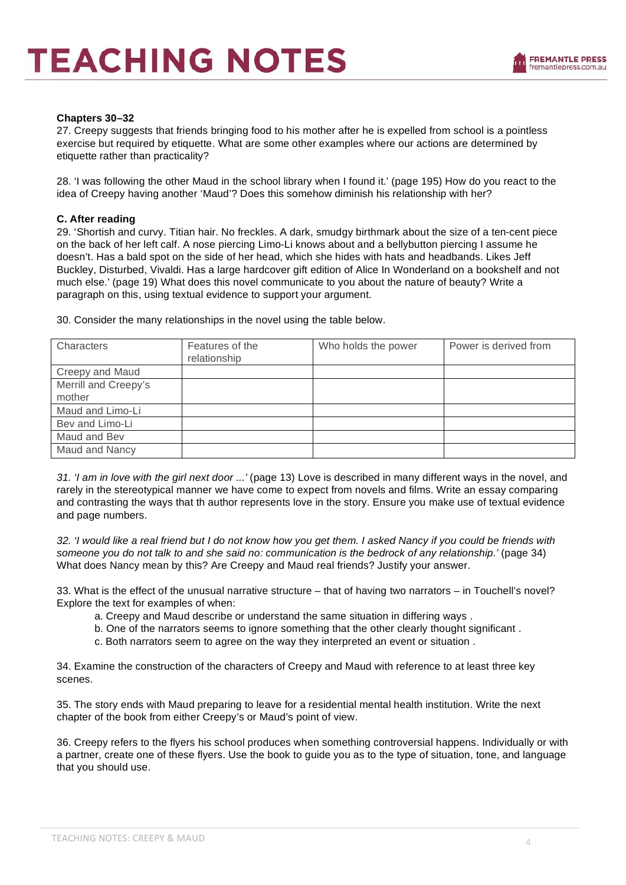#### **Chapters 30–32**

27. Creepy suggests that friends bringing food to his mother after he is expelled from school is a pointless exercise but required by etiquette. What are some other examples where our actions are determined by etiquette rather than practicality?

28. 'I was following the other Maud in the school library when I found it.' (page 195) How do you react to the idea of Creepy having another 'Maud'? Does this somehow diminish his relationship with her?

#### **C. After reading**

29. 'Shortish and curvy. Titian hair. No freckles. A dark, smudgy birthmark about the size of a ten-cent piece on the back of her left calf. A nose piercing Limo-Li knows about and a bellybutton piercing I assume he doesn't. Has a bald spot on the side of her head, which she hides with hats and headbands. Likes Jeff Buckley, Disturbed, Vivaldi. Has a large hardcover gift edition of Alice In Wonderland on a bookshelf and not much else.' (page 19) What does this novel communicate to you about the nature of beauty? Write a paragraph on this, using textual evidence to support your argument.

30. Consider the many relationships in the novel using the table below.

| Characters           | Features of the<br>relationship | Who holds the power | Power is derived from |
|----------------------|---------------------------------|---------------------|-----------------------|
| Creepy and Maud      |                                 |                     |                       |
| Merrill and Creepy's |                                 |                     |                       |
| mother               |                                 |                     |                       |
| Maud and Limo-Li     |                                 |                     |                       |
| Bev and Limo-Li      |                                 |                     |                       |
| Maud and Bev         |                                 |                     |                       |
| Maud and Nancy       |                                 |                     |                       |

*31. 'I am in love with the girl next door ...'* (page 13) Love is described in many different ways in the novel, and rarely in the stereotypical manner we have come to expect from novels and films. Write an essay comparing and contrasting the ways that th author represents love in the story. Ensure you make use of textual evidence and page numbers.

*32. 'I would like a real friend but I do not know how you get them. I asked Nancy if you could be friends with*  someone you do not talk to and she said no: communication is the bedrock of any relationship.' (page 34) What does Nancy mean by this? Are Creepy and Maud real friends? Justify your answer.

33. What is the effect of the unusual narrative structure – that of having two narrators – in Touchell's novel? Explore the text for examples of when:

- a. Creepy and Maud describe or understand the same situation in differing ways .
- b. One of the narrators seems to ignore something that the other clearly thought significant .
- c. Both narrators seem to agree on the way they interpreted an event or situation .

34. Examine the construction of the characters of Creepy and Maud with reference to at least three key scenes.

35. The story ends with Maud preparing to leave for a residential mental health institution. Write the next chapter of the book from either Creepy's or Maud's point of view.

36. Creepy refers to the flyers his school produces when something controversial happens. Individually or with a partner, create one of these flyers. Use the book to guide you as to the type of situation, tone, and language that you should use.